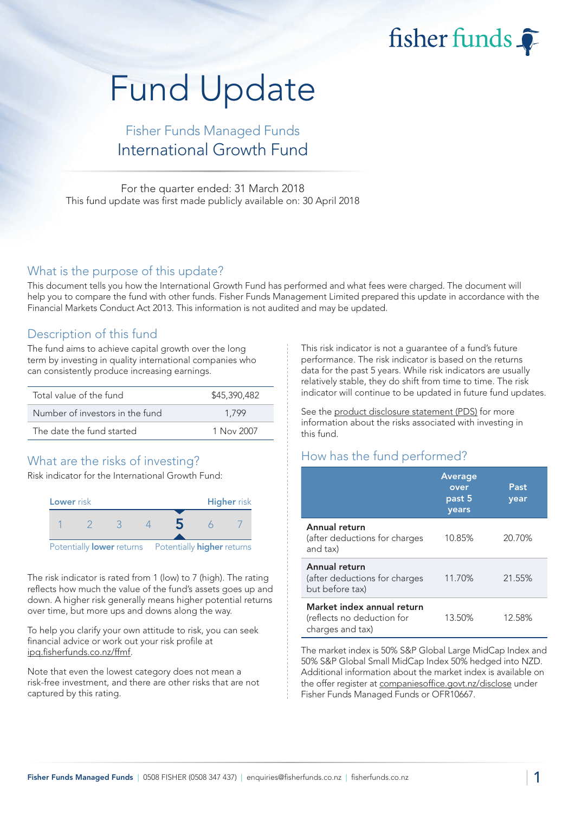fisher funds

# Fund Update

## Fisher Funds Managed Funds International Growth Fund

For the quarter ended: 31 March 2018 This fund update was first made publicly available on: 30 April 2018

#### What is the purpose of this update?

This document tells you how the International Growth Fund has performed and what fees were charged. The document will help you to compare the fund with other funds. Fisher Funds Management Limited prepared this update in accordance with the Financial Markets Conduct Act 2013. This information is not audited and may be updated.

### Description of this fund

The fund aims to achieve capital growth over the long term by investing in quality international companies who can consistently produce increasing earnings.

| Total value of the fund         | \$45,390,482 |  |  |
|---------------------------------|--------------|--|--|
| Number of investors in the fund | 1.799        |  |  |
| The date the fund started       | 1 Nov 2007   |  |  |

## What are the risks of investing?

Risk indicator for the International Growth Fund:



The risk indicator is rated from 1 (low) to 7 (high). The rating reflects how much the value of the fund's assets goes up and down. A higher risk generally means higher potential returns over time, but more ups and downs along the way.

To help you clarify your own attitude to risk, you can seek financial advice or work out your risk profile at [ipq.fisherfunds.co.nz/ffmf.](https://ipq.fisherfunds.co.nz/ffmf)

Note that even the lowest category does not mean a risk-free investment, and there are other risks that are not captured by this rating.

This risk indicator is not a guarantee of a fund's future performance. The risk indicator is based on the returns data for the past 5 years. While risk indicators are usually relatively stable, they do shift from time to time. The risk indicator will continue to be updated in future fund updates.

See the [product disclosure statement \(PDS\)](https://fisherfunds.co.nz/assets/PDS/Fisher-Funds-Managed-Funds-PDS.pdf) for more information about the risks associated with investing in this fund.

## How has the fund performed?

|                                                                              | Average<br>over<br>past 5<br>years | Past<br>year |
|------------------------------------------------------------------------------|------------------------------------|--------------|
| Annual return<br>(after deductions for charges<br>and tax)                   | 10.85%                             | 20.70%       |
| Annual return<br>(after deductions for charges<br>but before tax)            | 11.70%                             | 21.55%       |
| Market index annual return<br>(reflects no deduction for<br>charges and tax) | 13.50%                             | 12.58%       |

The market index is 50% S&P Global Large MidCap Index and 50% S&P Global Small MidCap Index 50% hedged into NZD. Additional information about the market index is available on the offer register at [companiesoffice.govt.nz/disclose](http://companiesoffice.govt.nz/disclose) under Fisher Funds Managed Funds or OFR10667.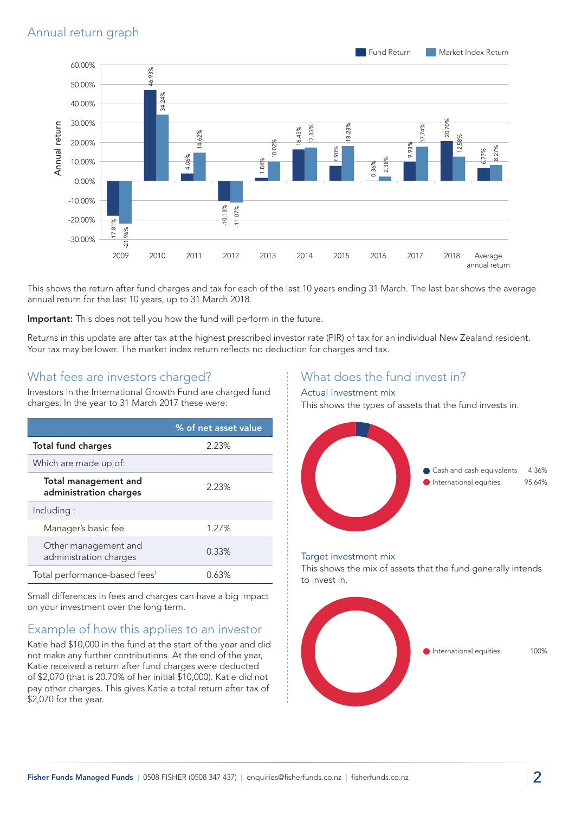

This shows the return after fund charges and tax for each of the last 10 years ending 31 March. The last bar shows the average annual return for the last 10 years, up to 31 March 2018.

Important: This does not tell you how the fund will perform in the future.

Returns in this update are after tax at the highest prescribed investor rate (PIR) of tax for an individual New Zealand resident. Your tax may be lower. The market index return reflects no deduction for charges and tax.

#### What fees are investors charged?

Investors in the International Growth Fund are charged fund charges. In the year to 31 March 2017 these were:

|                                                       | % of net asset value |
|-------------------------------------------------------|----------------------|
| <b>Total fund charges</b>                             | 2.23%                |
| Which are made up of:                                 |                      |
| <b>Total management and</b><br>administration charges | 2.23%                |
| Including:                                            |                      |
| Manager's basic fee                                   | 1.27%                |
| Other management and<br>administration charges        | 0.33%                |
| Total performance-based fees <sup>1</sup>             | 0.63%                |

Small differences in fees and charges can have a big impact on your investment over the long term.

## Example of how this applies to an investor

Katie had \$10,000 in the fund at the start of the year and did not make any further contributions. At the end of the year, Katie received a return after fund charges were deducted of \$2,070 (that is 20.70% of her initial \$10,000). Katie did not pay other charges. This gives Katie a total return after tax of \$2,070 for the year.

### What does the fund invest in?

#### Actual investment mix

This shows the types of assets that the fund invests in.



#### Target investment mix

This shows the mix of assets that the fund generally intends to invest in.